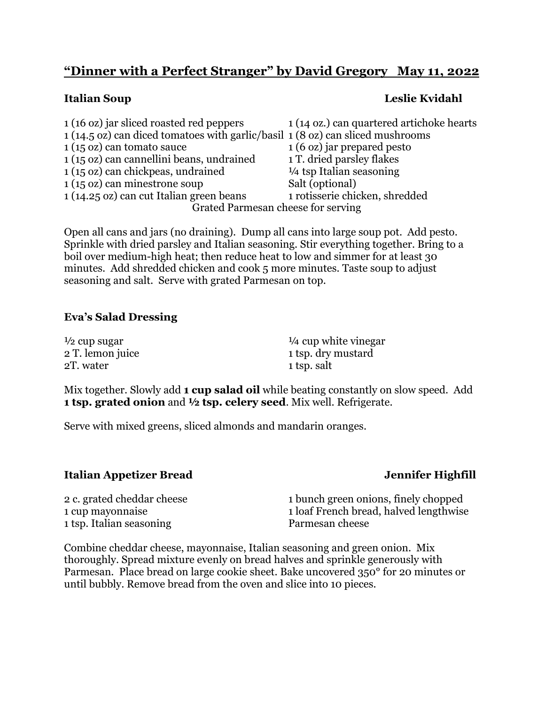# **"Dinner with a Perfect Stranger" by David Gregory May 11, 2022**

# **Italian Soup Leslie Kvidahl**

| 1 (16 oz) jar sliced roasted red peppers                                       | 1 (14 oz.) can quartered artichoke hearts |  |
|--------------------------------------------------------------------------------|-------------------------------------------|--|
| 1 (14.5 oz) can diced tomatoes with garlic/basil 1 (8 oz) can sliced mushrooms |                                           |  |
| $1(15 \text{ oz})$ can tomato sauce                                            | 1 (6 oz) jar prepared pesto               |  |
| 1 (15 oz) can cannellini beans, undrained                                      | 1 T. dried parsley flakes                 |  |
| 1 (15 oz) can chickpeas, undrained                                             | $\frac{1}{4}$ tsp Italian seasoning       |  |
| $1(15 \text{ oz})$ can minestrone soup                                         | Salt (optional)                           |  |
| 1 (14.25 oz) can cut Italian green beans                                       | 1 rotisserie chicken, shredded            |  |
| Grated Parmesan cheese for serving                                             |                                           |  |

Open all cans and jars (no draining). Dump all cans into large soup pot. Add pesto. Sprinkle with dried parsley and Italian seasoning. Stir everything together. Bring to a boil over medium-high heat; then reduce heat to low and simmer for at least 30 minutes. Add shredded chicken and cook 5 more minutes. Taste soup to adjust seasoning and salt. Serve with grated Parmesan on top.

### **Eva's Salad Dressing**

| $\frac{1}{2}$ cup sugar | $\frac{1}{4}$ cup white vinegar |
|-------------------------|---------------------------------|
| 2 T. lemon juice        | 1 tsp. dry mustard              |
| 2T. water               | 1 tsp. salt                     |

Mix together. Slowly add **1 cup salad oil** while beating constantly on slow speed. Add **1 tsp. grated onion** and **½ tsp. celery seed**. Mix well. Refrigerate.

Serve with mixed greens, sliced almonds and mandarin oranges.

### **Italian Appetizer Bread Jennifer Highfill**

1 tsp. Italian seasoning Parmesan cheese

2 c. grated cheddar cheese 1 bunch green onions, finely chopped 1 cup mayonnaise 1 loaf French bread, halved lengthwise

Combine cheddar cheese, mayonnaise, Italian seasoning and green onion. Mix thoroughly. Spread mixture evenly on bread halves and sprinkle generously with Parmesan. Place bread on large cookie sheet. Bake uncovered 350° for 20 minutes or until bubbly. Remove bread from the oven and slice into 10 pieces.